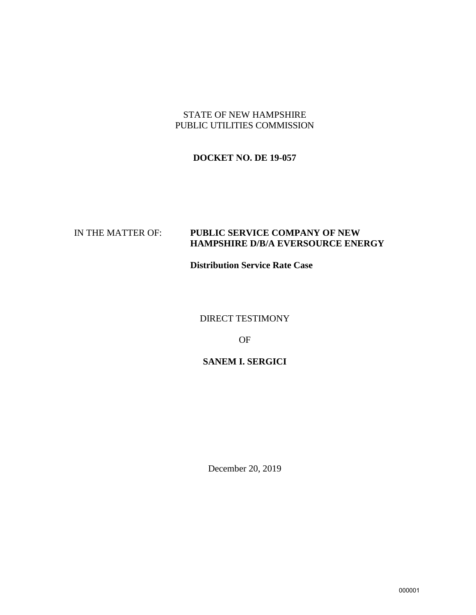### STATE OF NEW HAMPSHIRE PUBLIC UTILITIES COMMISSION

### **DOCKET NO. DE 19-057**

### IN THE MATTER OF: **PUBLIC SERVICE COMPANY OF NEW HAMPSHIRE D/B/A EVERSOURCE ENERGY**

**Distribution Service Rate Case**

DIRECT TESTIMONY

OF

### **SANEM I. SERGICI**

December 20, 2019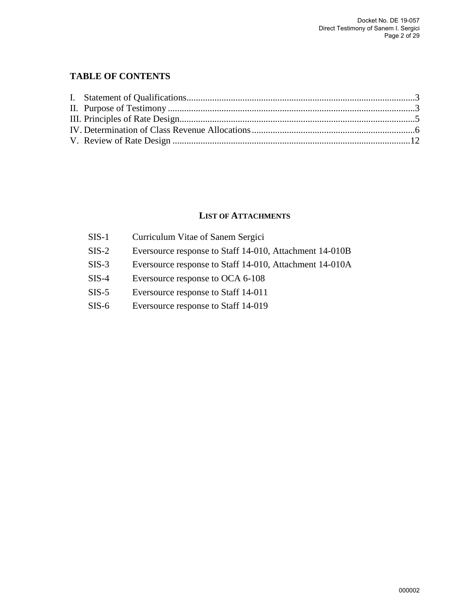### **TABLE OF CONTENTS**

### **LIST OF ATTACHMENTS**

| $SIS-1$ | Curriculum Vitae of Sanem Sergici                       |
|---------|---------------------------------------------------------|
| $SIS-2$ | Eversource response to Staff 14-010, Attachment 14-010B |
| $SIS-3$ | Eversource response to Staff 14-010, Attachment 14-010A |
| $SIS-4$ | Eversource response to OCA 6-108                        |
| $SIS-5$ | Eversource response to Staff 14-011                     |
| $SIS-6$ | Eversource response to Staff 14-019                     |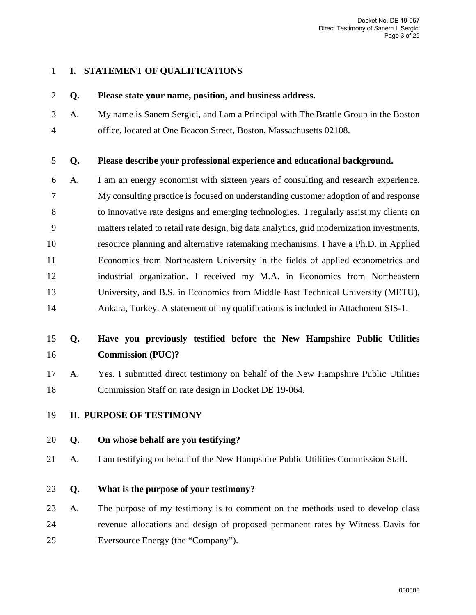### <span id="page-2-0"></span>1 **I. STATEMENT OF QUALIFICATIONS**

### 2 **Q. Please state your name, position, and business address.**

3 A. My name is Sanem Sergici, and I am a Principal with The Brattle Group in the Boston 4 office, located at One Beacon Street, Boston, Massachusetts 02108.

### 5 **Q. Please describe your professional experience and educational background.**

6 A. I am an energy economist with sixteen years of consulting and research experience. 7 My consulting practice is focused on understanding customer adoption of and response 8 to innovative rate designs and emerging technologies. I regularly assist my clients on 9 matters related to retail rate design, big data analytics, grid modernization investments, 10 resource planning and alternative ratemaking mechanisms. I have a Ph.D. in Applied 11 Economics from Northeastern University in the fields of applied econometrics and 12 industrial organization. I received my M.A. in Economics from Northeastern 13 University, and B.S. in Economics from Middle East Technical University (METU), 14 Ankara, Turkey. A statement of my qualifications is included in Attachment SIS-1.

# 15 **Q. Have you previously testified before the New Hampshire Public Utilities**  16 **Commission (PUC)?**

- 17 A. Yes. I submitted direct testimony on behalf of the New Hampshire Public Utilities 18 Commission Staff on rate design in Docket DE 19-064.
- <span id="page-2-1"></span>19 **II. PURPOSE OF TESTIMONY**

### 20 **Q. On whose behalf are you testifying?**

21 A. I am testifying on behalf of the New Hampshire Public Utilities Commission Staff.

### 22 **Q. What is the purpose of your testimony?**

23 A. The purpose of my testimony is to comment on the methods used to develop class 24 revenue allocations and design of proposed permanent rates by Witness Davis for 25 Eversource Energy (the "Company").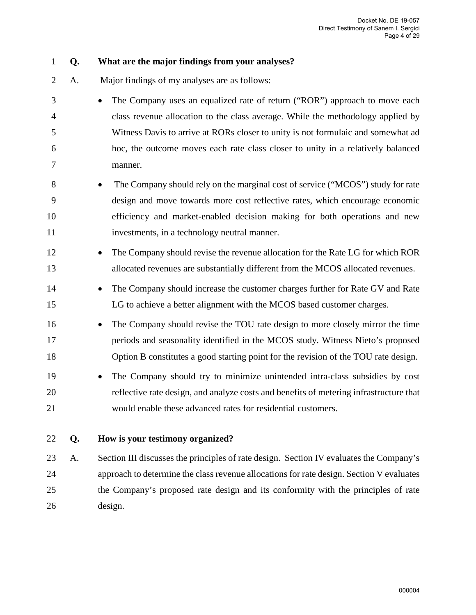- 1 **Q. What are the major findings from your analyses?**  2 A. Major findings of my analyses are as follows: 3 • The Company uses an equalized rate of return ("ROR") approach to move each 4 class revenue allocation to the class average. While the methodology applied by 5 Witness Davis to arrive at RORs closer to unity is not formulaic and somewhat ad 6 hoc, the outcome moves each rate class closer to unity in a relatively balanced 7 manner. 8 • The Company should rely on the marginal cost of service ("MCOS") study for rate 9 design and move towards more cost reflective rates, which encourage economic 10 efficiency and market-enabled decision making for both operations and new 11 investments, in a technology neutral manner. 12 • The Company should revise the revenue allocation for the Rate LG for which ROR 13 allocated revenues are substantially different from the MCOS allocated revenues. 14 • The Company should increase the customer charges further for Rate GV and Rate 15 LG to achieve a better alignment with the MCOS based customer charges. 16 • The Company should revise the TOU rate design to more closely mirror the time 17 periods and seasonality identified in the MCOS study. Witness Nieto's proposed 18 Option B constitutes a good starting point for the revision of the TOU rate design. 19 • The Company should try to minimize unintended intra-class subsidies by cost 20 reflective rate design, and analyze costs and benefits of metering infrastructure that 21 would enable these advanced rates for residential customers. 22 **Q. How is your testimony organized?**  23 A. Section III discusses the principles of rate design. Section IV evaluates the Company's 24 approach to determine the class revenue allocations for rate design. Section V evaluates
- 25 the Company's proposed rate design and its conformity with the principles of rate 26 design.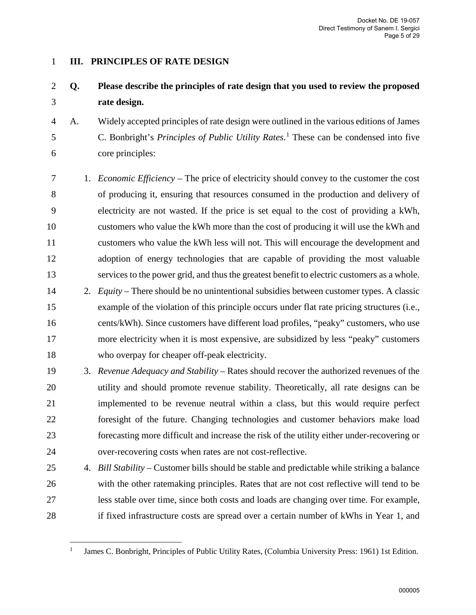### <span id="page-4-0"></span>1 **III. PRINCIPLES OF RATE DESIGN**

# 2 **Q. Please describe the principles of rate design that you used to review the proposed**  3 **rate design.**

- 4 A. Widely accepted principles of rate design were outlined in the various editions of James 5 C. Bonbright's *Principles of Public Utility Rates*.<sup>[1](#page-4-1)</sup> These can be condensed into five 6 core principles:
- 7 1. *Economic Efficiency* The price of electricity should convey to the customer the cost 8 of producing it, ensuring that resources consumed in the production and delivery of 9 electricity are not wasted. If the price is set equal to the cost of providing a kWh, 10 customers who value the kWh more than the cost of producing it will use the kWh and 11 customers who value the kWh less will not. This will encourage the development and 12 adoption of energy technologies that are capable of providing the most valuable 13 services to the power grid, and thus the greatest benefit to electric customers as a whole.
- 14 2. *Equity*  There should be no unintentional subsidies between customer types. A classic 15 example of the violation of this principle occurs under flat rate pricing structures (i.e., 16 cents/kWh). Since customers have different load profiles, "peaky" customers, who use 17 more electricity when it is most expensive, are subsidized by less "peaky" customers 18 who overpay for cheaper off-peak electricity.
- 19 3. *Revenue Adequacy and Stability*  Rates should recover the authorized revenues of the 20 utility and should promote revenue stability. Theoretically, all rate designs can be 21 implemented to be revenue neutral within a class, but this would require perfect 22 foresight of the future. Changing technologies and customer behaviors make load 23 forecasting more difficult and increase the risk of the utility either under-recovering or 24 over-recovering costs when rates are not cost-reflective.
- 25 4. *Bill Stability*  Customer bills should be stable and predictable while striking a balance 26 with the other ratemaking principles. Rates that are not cost reflective will tend to be 27 less stable over time, since both costs and loads are changing over time. For example, 28 if fixed infrastructure costs are spread over a certain number of kWhs in Year 1, and

<span id="page-4-1"></span> $\overline{a}$ <sup>1</sup> James C. Bonbright, Principles of Public Utility Rates, (Columbia University Press: 1961) 1st Edition.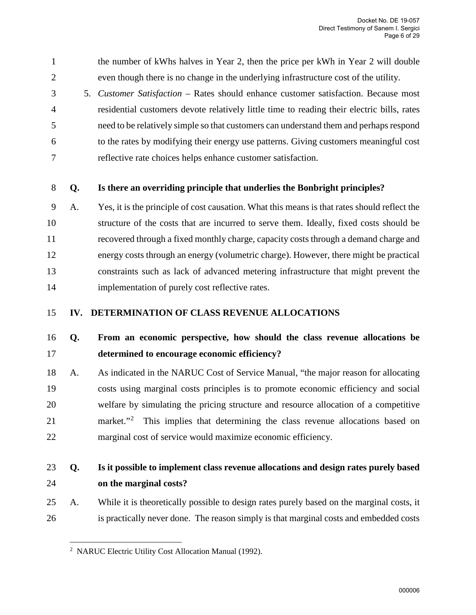1 the number of kWhs halves in Year 2, then the price per kWh in Year 2 will double 2 even though there is no change in the underlying infrastructure cost of the utility.

3 5. *Customer Satisfaction* – Rates should enhance customer satisfaction. Because most 4 residential customers devote relatively little time to reading their electric bills, rates 5 need to be relatively simple so that customers can understand them and perhaps respond 6 to the rates by modifying their energy use patterns. Giving customers meaningful cost 7 reflective rate choices helps enhance customer satisfaction.

### 8 **Q. Is there an overriding principle that underlies the Bonbright principles?**

9 A. Yes, it is the principle of cost causation. What this means is that rates should reflect the 10 structure of the costs that are incurred to serve them. Ideally, fixed costs should be 11 recovered through a fixed monthly charge, capacity costs through a demand charge and 12 energy costs through an energy (volumetric charge). However, there might be practical 13 constraints such as lack of advanced metering infrastructure that might prevent the 14 implementation of purely cost reflective rates.

### <span id="page-5-0"></span>15 **IV. DETERMINATION OF CLASS REVENUE ALLOCATIONS**

# 16 **Q. From an economic perspective, how should the class revenue allocations be**  17 **determined to encourage economic efficiency?**

18 A. As indicated in the NARUC Cost of Service Manual, "the major reason for allocating 19 costs using marginal costs principles is to promote economic efficiency and social 20 welfare by simulating the pricing structure and resource allocation of a competitive [2](#page-5-1)1 market."<sup>2</sup> This implies that determining the class revenue allocations based on 22 marginal cost of service would maximize economic efficiency.

### 23 **Q. Is it possible to implement class revenue allocations and design rates purely based**  24 **on the marginal costs?**

<span id="page-5-1"></span>25 A. While it is theoretically possible to design rates purely based on the marginal costs, it 26 is practically never done. The reason simply is that marginal costs and embedded costs

 $\overline{a}$ 2 NARUC Electric Utility Cost Allocation Manual (1992).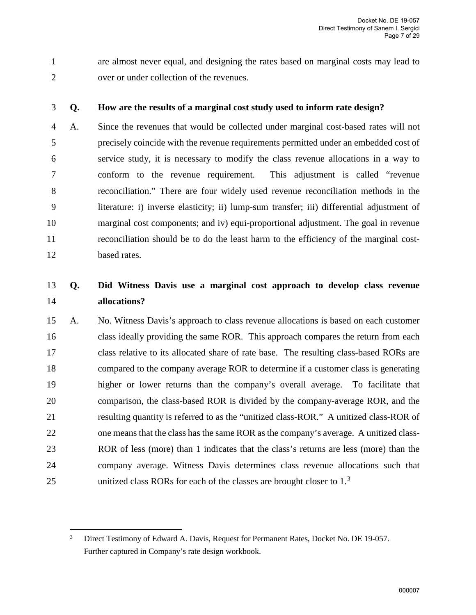1 are almost never equal, and designing the rates based on marginal costs may lead to 2 over or under collection of the revenues.

### 3 **Q. How are the results of a marginal cost study used to inform rate design?**

4 A. Since the revenues that would be collected under marginal cost-based rates will not 5 precisely coincide with the revenue requirements permitted under an embedded cost of 6 service study, it is necessary to modify the class revenue allocations in a way to 7 conform to the revenue requirement. This adjustment is called "revenue 8 reconciliation." There are four widely used revenue reconciliation methods in the 9 literature: i) inverse elasticity; ii) lump-sum transfer; iii) differential adjustment of 10 marginal cost components; and iv) equi-proportional adjustment. The goal in revenue 11 reconciliation should be to do the least harm to the efficiency of the marginal cost-12 based rates.

### 13 **Q. Did Witness Davis use a marginal cost approach to develop class revenue**  14 **allocations?**

15 A. No. Witness Davis's approach to class revenue allocations is based on each customer 16 class ideally providing the same ROR. This approach compares the return from each 17 class relative to its allocated share of rate base. The resulting class-based RORs are 18 compared to the company average ROR to determine if a customer class is generating 19 higher or lower returns than the company's overall average. To facilitate that 20 comparison, the class-based ROR is divided by the company-average ROR, and the 21 resulting quantity is referred to as the "unitized class-ROR." A unitized class-ROR of 22 one means that the class has the same ROR as the company's average. A unitized class-23 ROR of less (more) than 1 indicates that the class's returns are less (more) than the 24 company average. Witness Davis determines class revenue allocations such that 25 unitized class RORs for each of the classes are brought closer to  $1<sup>3</sup>$  $1<sup>3</sup>$  $1<sup>3</sup>$ 

<span id="page-6-0"></span><sup>3</sup> Direct Testimony of Edward A. Davis, Request for Permanent Rates, Docket No. DE 19-057. Further captured in Company's rate design workbook.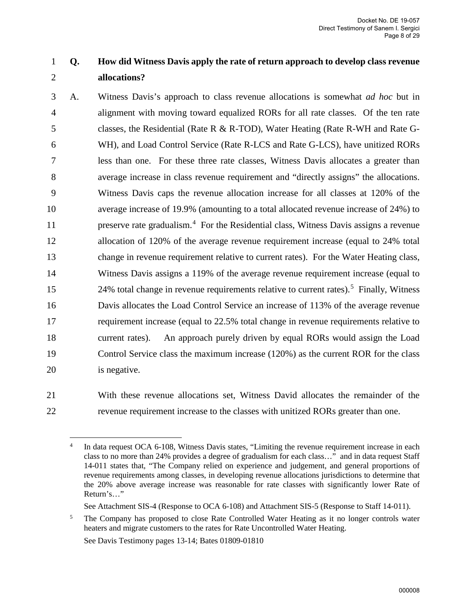# 1 **Q. How did Witness Davis apply the rate of return approach to develop class revenue** 2 **allocations?**

- 3 A. Witness Davis's approach to class revenue allocations is somewhat *ad hoc* but in 4 alignment with moving toward equalized RORs for all rate classes. Of the ten rate 5 classes, the Residential (Rate R & R-TOD), Water Heating (Rate R-WH and Rate G-6 WH), and Load Control Service (Rate R-LCS and Rate G-LCS), have unitized RORs 7 less than one. For these three rate classes, Witness Davis allocates a greater than 8 average increase in class revenue requirement and "directly assigns" the allocations. 9 Witness Davis caps the revenue allocation increase for all classes at 120% of the 10 average increase of 19.9% (amounting to a total allocated revenue increase of 24%) to 11 preserve rate gradualism.<sup>[4](#page-7-0)</sup> For the Residential class, Witness Davis assigns a revenue 12 allocation of 120% of the average revenue requirement increase (equal to 24% total 13 change in revenue requirement relative to current rates). For the Water Heating class, 14 Witness Davis assigns a 119% of the average revenue requirement increase (equal to 24% total change in revenue requirements relative to current rates).<sup>[5](#page-7-1)</sup> Finally, Witness 16 Davis allocates the Load Control Service an increase of 113% of the average revenue 17 requirement increase (equal to 22.5% total change in revenue requirements relative to 18 current rates). An approach purely driven by equal RORs would assign the Load 19 Control Service class the maximum increase (120%) as the current ROR for the class 20 is negative.
- <span id="page-7-0"></span>

21 With these revenue allocations set, Witness David allocates the remainder of the 22 revenue requirement increase to the classes with unitized RORs greater than one.

See Davis Testimony pages 13-14; Bates 01809-01810

In data request OCA 6-108, Witness Davis states, "Limiting the revenue requirement increase in each class to no more than 24% provides a degree of gradualism for each class…" and in data request Staff 14-011 states that, "The Company relied on experience and judgement, and general proportions of revenue requirements among classes, in developing revenue allocations jurisdictions to determine that the 20% above average increase was reasonable for rate classes with significantly lower Rate of Return's…"

See Attachment SIS-4 (Response to OCA 6-108) and Attachment SIS-5 (Response to Staff 14-011).

<span id="page-7-1"></span><sup>&</sup>lt;sup>5</sup> The Company has proposed to close Rate Controlled Water Heating as it no longer controls water heaters and migrate customers to the rates for Rate Uncontrolled Water Heating.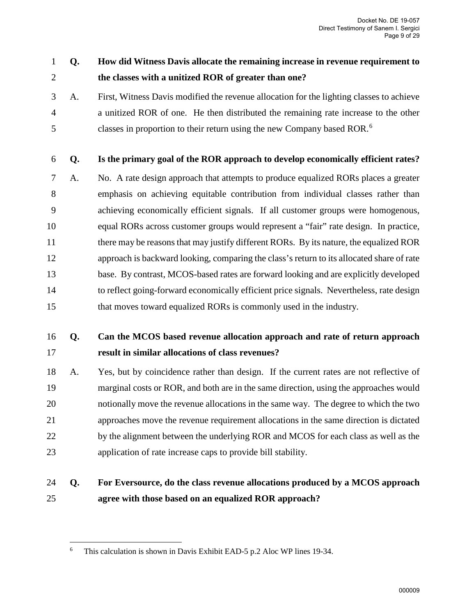# 1 **Q. How did Witness Davis allocate the remaining increase in revenue requirement to**  2 **the classes with a unitized ROR of greater than one?**

3 A. First, Witness Davis modified the revenue allocation for the lighting classes to achieve 4 a unitized ROR of one. He then distributed the remaining rate increase to the other classes in proportion to their return using the new Company based ROR.[6](#page-8-0) 5

### 6 **Q. Is the primary goal of the ROR approach to develop economically efficient rates?**

7 A. No. A rate design approach that attempts to produce equalized RORs places a greater 8 emphasis on achieving equitable contribution from individual classes rather than 9 achieving economically efficient signals. If all customer groups were homogenous, 10 equal RORs across customer groups would represent a "fair" rate design. In practice, 11 there may be reasons that may justify different RORs. By its nature, the equalized ROR 12 approach is backward looking, comparing the class's return to its allocated share of rate 13 base. By contrast, MCOS-based rates are forward looking and are explicitly developed 14 to reflect going-forward economically efficient price signals. Nevertheless, rate design 15 that moves toward equalized RORs is commonly used in the industry.

# 16 **Q. Can the MCOS based revenue allocation approach and rate of return approach**  17 **result in similar allocations of class revenues?**

18 A. Yes, but by coincidence rather than design. If the current rates are not reflective of 19 marginal costs or ROR, and both are in the same direction, using the approaches would 20 notionally move the revenue allocations in the same way. The degree to which the two 21 approaches move the revenue requirement allocations in the same direction is dictated 22 by the alignment between the underlying ROR and MCOS for each class as well as the 23 application of rate increase caps to provide bill stability.

# 24 **Q. For Eversource, do the class revenue allocations produced by a MCOS approach**  25 **agree with those based on an equalized ROR approach?**

 $\overline{a}$ 

<span id="page-8-0"></span><sup>&</sup>lt;sup>6</sup> This calculation is shown in Davis Exhibit EAD-5 p.2 Aloc WP lines 19-34.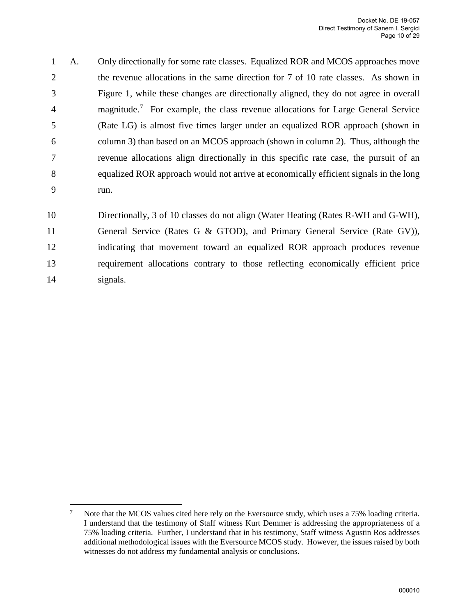1 A. Only directionally for some rate classes. Equalized ROR and MCOS approaches move 2 the revenue allocations in the same direction for 7 of 10 rate classes. As shown in 3 [Figure 1,](#page-10-0) while these changes are directionally aligned, they do not agree in overall 4 magnitude.<sup>[7](#page-9-0)</sup> For example, the class revenue allocations for Large General Service 5 (Rate LG) is almost five times larger under an equalized ROR approach (shown in 6 column 3) than based on an MCOS approach (shown in column 2). Thus, although the 7 revenue allocations align directionally in this specific rate case, the pursuit of an 8 equalized ROR approach would not arrive at economically efficient signals in the long 9 run.

10 Directionally, 3 of 10 classes do not align (Water Heating (Rates R-WH and G-WH),

11 General Service (Rates G & GTOD), and Primary General Service (Rate GV)), 12 indicating that movement toward an equalized ROR approach produces revenue 13 requirement allocations contrary to those reflecting economically efficient price 14 signals.

<span id="page-9-0"></span><sup>&</sup>lt;sup>-</sup> Note that the MCOS values cited here rely on the Eversource study, which uses a 75% loading criteria. I understand that the testimony of Staff witness Kurt Demmer is addressing the appropriateness of a 75% loading criteria. Further, I understand that in his testimony, Staff witness Agustin Ros addresses additional methodological issues with the Eversource MCOS study. However, the issues raised by both witnesses do not address my fundamental analysis or conclusions.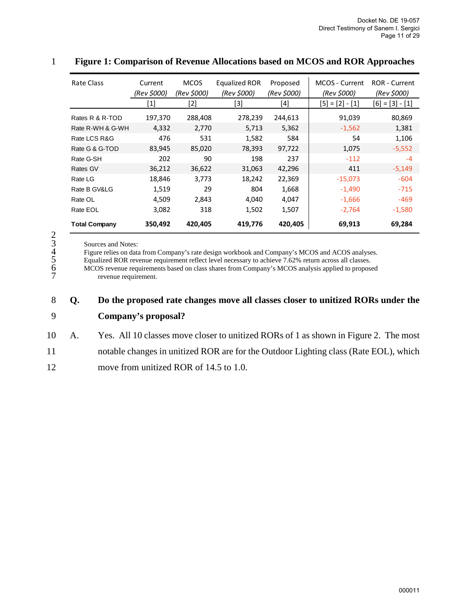| Rate Class           | Current<br>(Rev \$000) | <b>MCOS</b><br>(Rev \$000) | Equalized ROR<br>(Rev \$000) | Proposed<br>(Rev \$000) | MCOS - Current<br>(Rev \$000) | <b>ROR</b> - Current<br>(Rev \$000) |
|----------------------|------------------------|----------------------------|------------------------------|-------------------------|-------------------------------|-------------------------------------|
|                      | [1]                    | [2]                        | [3]                          | [4]                     | $[5] = [2] - [1]$             | $[6] = [3] - [1]$                   |
| Rates R & R-TOD      | 197,370                | 288,408                    | 278,239                      | 244,613                 | 91,039                        | 80,869                              |
| Rate R-WH & G-WH     | 4,332                  | 2,770                      | 5,713                        | 5,362                   | $-1,562$                      | 1,381                               |
| Rate LCS R&G         | 476                    | 531                        | 1,582                        | 584                     | 54                            | 1,106                               |
| Rate G & G-TOD       | 83,945                 | 85,020                     | 78,393                       | 97,722                  | 1,075                         | $-5,552$                            |
| Rate G-SH            | 202                    | 90                         | 198                          | 237                     | $-112$                        | $-4$                                |
| Rates GV             | 36,212                 | 36,622                     | 31,063                       | 42,296                  | 411                           | $-5,149$                            |
| Rate LG              | 18,846                 | 3,773                      | 18,242                       | 22,369                  | $-15,073$                     | $-604$                              |
| Rate B GV&LG         | 1,519                  | 29                         | 804                          | 1,668                   | $-1,490$                      | $-715$                              |
| Rate OL              | 4,509                  | 2,843                      | 4,040                        | 4,047                   | $-1,666$                      | -469                                |
| Rate EOL             | 3,082                  | 318                        | 1,502                        | 1,507                   | $-2,764$                      | $-1,580$                            |
| <b>Total Company</b> | 350,492                | 420,405                    | 419,776                      | 420,405                 | 69,913                        | 69,284                              |

#### <span id="page-10-0"></span>1 **Figure 1: Comparison of Revenue Allocations based on MCOS and ROR Approaches**

Figure relies on data from Company's rate design workbook and Company's MCOS and ACOS analyses.

5 Equalized ROR revenue requirement reflect level necessary to achieve 7.62% return across all classes.

2<br>
3<br>
Sources and Notes:<br>
4<br>
Figure relies on data<br>
5<br>
Equalized ROR reve<br>
6<br>
MCOS revenue require 6 MCOS revenue requirements based on class shares from Company's MCOS analysis applied to proposed revenue requirement.

### 8 **Q. Do the proposed rate changes move all classes closer to unitized RORs under the**  9 **Company's proposal?**

- 10 A. Yes. All 10 classes move closer to unitized RORs of 1 as shown in [Figure 2.](#page-11-1) The most
- 11 notable changes in unitized ROR are for the Outdoor Lighting class (Rate EOL), which
- 12 move from unitized ROR of 14.5 to 1.0.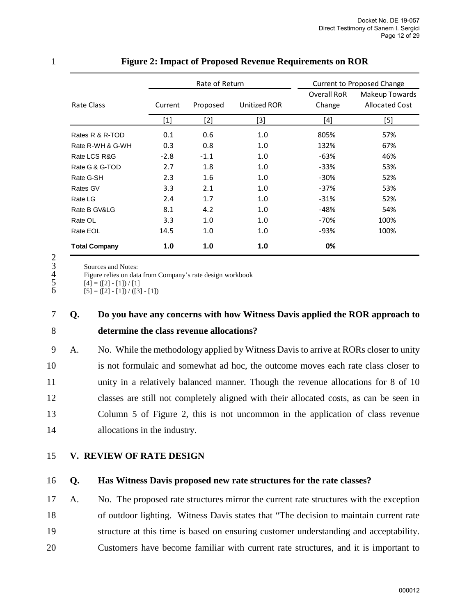|                      | Rate of Return |          |              |                       | <b>Current to Proposed Change</b>       |
|----------------------|----------------|----------|--------------|-----------------------|-----------------------------------------|
| Rate Class           | Current        | Proposed | Unitized ROR | Overall RoR<br>Change | Makeup Towards<br><b>Allocated Cost</b> |
|                      | $[1]$          | $[2]$    | $[3]$        | [4]                   | [5]                                     |
| Rates R & R-TOD      | 0.1            | 0.6      | 1.0          | 805%                  | 57%                                     |
| Rate R-WH & G-WH     | 0.3            | 0.8      | 1.0          | 132%                  | 67%                                     |
| Rate LCS R&G         | $-2.8$         | $-1.1$   | 1.0          | -63%                  | 46%                                     |
| Rate G & G-TOD       | 2.7            | 1.8      | 1.0          | $-33%$                | 53%                                     |
| Rate G-SH            | 2.3            | 1.6      | 1.0          | $-30%$                | 52%                                     |
| Rates GV             | 3.3            | 2.1      | 1.0          | $-37%$                | 53%                                     |
| Rate LG              | 2.4            | 1.7      | 1.0          | $-31%$                | 52%                                     |
| Rate B GV&LG         | 8.1            | 4.2      | 1.0          | $-48%$                | 54%                                     |
| Rate OL              | 3.3            | 1.0      | 1.0          | -70%                  | 100%                                    |
| Rate EOL             | 14.5           | 1.0      | 1.0          | -93%                  | 100%                                    |
| <b>Total Company</b> | 1.0            | 1.0      | 1.0          | 0%                    |                                         |

#### <span id="page-11-1"></span>1 **Figure 2: Impact of Proposed Revenue Requirements on ROR**

 $\frac{2}{3}$ <br> $\frac{4}{5}$ <br>6

Sources and Notes:

Figure relies on data from Company's rate design workbook

 $\boxed{4} = (\boxed{2} - \boxed{1}) / \boxed{1}$ 

 $[5] = ([2] - [1]) / ([3] - [1])$ 

# 7 **Q. Do you have any concerns with how Witness Davis applied the ROR approach to**  8 **determine the class revenue allocations?**

9 A. No. While the methodology applied by Witness Davis to arrive at RORs closer to unity 10 is not formulaic and somewhat ad hoc, the outcome moves each rate class closer to 11 unity in a relatively balanced manner. Though the revenue allocations for 8 of 10 12 classes are still not completely aligned with their allocated costs, as can be seen in 13 Column 5 of [Figure 2,](#page-11-1) this is not uncommon in the application of class revenue 14 allocations in the industry.

- <span id="page-11-0"></span>15 **V. REVIEW OF RATE DESIGN**
- 

### 16 **Q. Has Witness Davis proposed new rate structures for the rate classes?**

17 A. No. The proposed rate structures mirror the current rate structures with the exception 18 of outdoor lighting. Witness Davis states that "The decision to maintain current rate 19 structure at this time is based on ensuring customer understanding and acceptability. 20 Customers have become familiar with current rate structures, and it is important to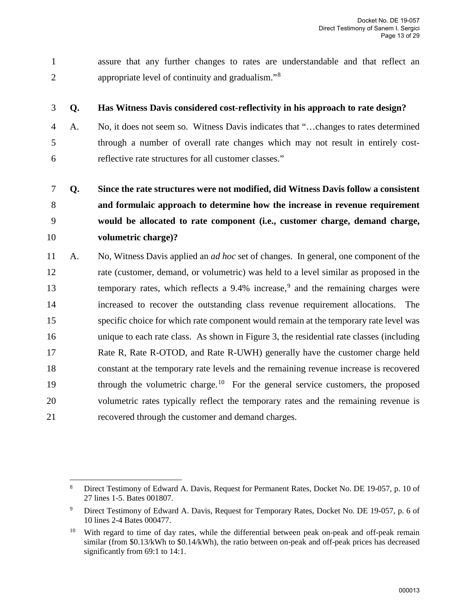1 assure that any further changes to rates are understandable and that reflect an appropriate level of continuity and gradualism."[8](#page-12-0) 2

 $\overline{a}$ 

### 3 **Q. Has Witness Davis considered cost-reflectivity in his approach to rate design?**

4 A. No, it does not seem so. Witness Davis indicates that "…changes to rates determined 5 through a number of overall rate changes which may not result in entirely cost-6 reflective rate structures for all customer classes."

# 7 **Q. Since the rate structures were not modified, did Witness Davis follow a consistent**  8 **and formulaic approach to determine how the increase in revenue requirement**  9 **would be allocated to rate component (i.e., customer charge, demand charge,**  10 **volumetric charge)?**

11 A. No, Witness Davis applied an *ad hoc* set of changes. In general, one component of the 12 rate (customer, demand, or volumetric) was held to a level similar as proposed in the 13 temporary rates, which reflects a [9](#page-12-1).4% increase,<sup>9</sup> and the remaining charges were 14 increased to recover the outstanding class revenue requirement allocations. The 15 specific choice for which rate component would remain at the temporary rate level was 16 unique to each rate class. As shown in [Figure 3,](#page-13-0) the residential rate classes (including 17 Rate R, Rate R-OTOD, and Rate R-UWH) generally have the customer charge held 18 constant at the temporary rate levels and the remaining revenue increase is recovered through the volumetric charge.<sup>[10](#page-12-2)</sup> For the general service customers, the proposed 20 volumetric rates typically reflect the temporary rates and the remaining revenue is 21 recovered through the customer and demand charges.

<span id="page-12-0"></span><sup>8</sup> Direct Testimony of Edward A. Davis, Request for Permanent Rates, Docket No. DE 19-057, p. 10 of 27 lines 1-5. Bates 001807.

<span id="page-12-1"></span><sup>9</sup> Direct Testimony of Edward A. Davis, Request for Temporary Rates, Docket No. DE 19-057, p. 6 of 10 lines 2-4 Bates 000477.

<span id="page-12-2"></span><sup>&</sup>lt;sup>10</sup> With regard to time of day rates, while the differential between peak on-peak and off-peak remain similar (from \$0.13/kWh to \$0.14/kWh), the ratio between on-peak and off-peak prices has decreased significantly from 69:1 to 14:1.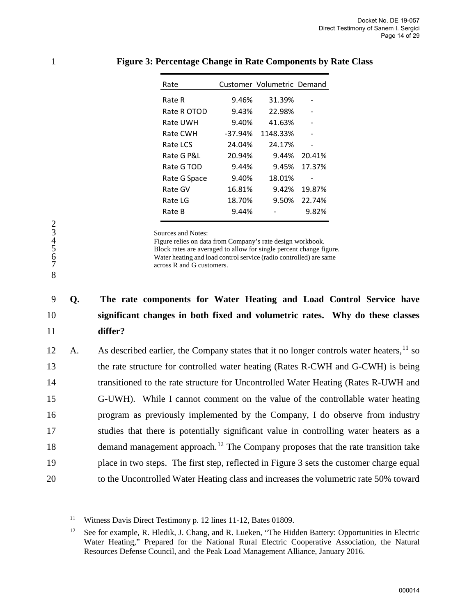| Rate         |         | Customer Volumetric Demand |        |
|--------------|---------|----------------------------|--------|
| Rate R       | 9.46%   | 31.39%                     |        |
| Rate R OTOD  | 9.43%   | 22.98%                     |        |
| Rate UWH     | 9.40%   | 41.63%                     |        |
| Rate CWH     | -37.94% | 1148.33%                   |        |
| Rate LCS     | 24.04%  | 24.17%                     |        |
| Rate G P&L   | 20.94%  | $9.44\%$                   | 20.41% |
| Rate G TOD   | 9.44%   | 9.45%                      | 17.37% |
| Rate G Space | 9.40%   | 18.01%                     |        |
| Rate GV      | 16.81%  | 9.42%                      | 19.87% |
| Rate LG      | 18.70%  | 9.50%                      | 22.74% |
| Rate B       | 9.44%   |                            | 9.82%  |

#### <span id="page-13-0"></span>1 **Figure 3: Percentage Change in Rate Components by Rate Class**

Sources and Notes:

Figure relies on data from Company's rate design workbook. 5 Block rates are averaged to allow for single percent change figure. Water heating and load control service (radio controlled) are same across R and G customers.

# 9 **Q. The rate components for Water Heating and Load Control Service have**  10 **significant changes in both fixed and volumetric rates. Why do these classes**  11 **differ?**

12 A. As described earlier, the Company states that it no longer controls water heaters,  $^{11}$  $^{11}$  $^{11}$  so 13 the rate structure for controlled water heating (Rates R-CWH and G-CWH) is being 14 transitioned to the rate structure for Uncontrolled Water Heating (Rates R-UWH and 15 G-UWH). While I cannot comment on the value of the controllable water heating 16 program as previously implemented by the Company, I do observe from industry 17 studies that there is potentially significant value in controlling water heaters as a 18 demand management approach.<sup>[12](#page-13-2)</sup> The Company proposes that the rate transition take 19 place in two steps. The first step, reflected in [Figure 3](#page-13-0) sets the customer charge equal 20 to the Uncontrolled Water Heating class and increases the volumetric rate 50% toward

234567

8

 $\overline{a}$ 

<span id="page-13-1"></span><sup>&</sup>lt;sup>11</sup> Witness Davis Direct Testimony p. 12 lines 11-12, Bates 01809.

<span id="page-13-2"></span><sup>&</sup>lt;sup>12</sup> See for example, R. Hledik, J. Chang, and R. Lueken, "The Hidden Battery: Opportunities in Electric Water Heating," Prepared for the National Rural Electric Cooperative Association, the Natural Resources Defense Council, and the Peak Load Management Alliance, January 2016.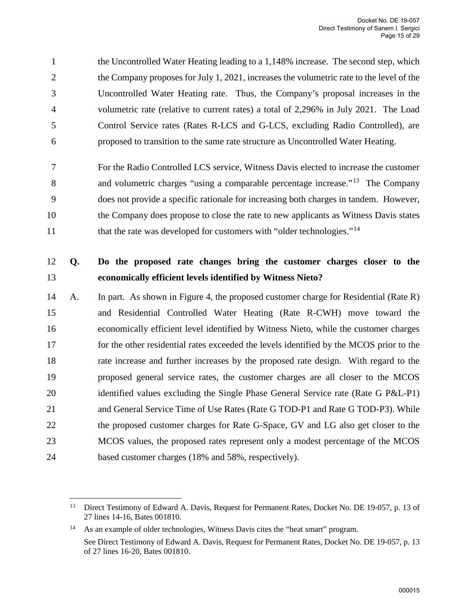1 the Uncontrolled Water Heating leading to a 1,148% increase. The second step, which 2 the Company proposes for July 1, 2021, increases the volumetric rate to the level of the 3 Uncontrolled Water Heating rate. Thus, the Company's proposal increases in the 4 volumetric rate (relative to current rates) a total of 2,296% in July 2021. The Load 5 Control Service rates (Rates R-LCS and G-LCS, excluding Radio Controlled), are 6 proposed to transition to the same rate structure as Uncontrolled Water Heating.

7 For the Radio Controlled LCS service, Witness Davis elected to increase the customer 8 and volumetric charges "using a comparable percentage increase."<sup>[13](#page-14-0)</sup> The Company 9 does not provide a specific rationale for increasing both charges in tandem. However, 10 the Company does propose to close the rate to new applicants as Witness Davis states that the rate was developed for customers with "older technologies."<sup>[14](#page-14-1)</sup>

# 12 **Q. Do the proposed rate changes bring the customer charges closer to the**  13 **economically efficient levels identified by Witness Nieto?**

14 A. In part. As shown in [Figure 4,](#page-15-0) the proposed customer charge for Residential (Rate R) 15 and Residential Controlled Water Heating (Rate R-CWH) move toward the 16 economically efficient level identified by Witness Nieto, while the customer charges 17 for the other residential rates exceeded the levels identified by the MCOS prior to the 18 rate increase and further increases by the proposed rate design. With regard to the 19 proposed general service rates, the customer charges are all closer to the MCOS 20 identified values excluding the Single Phase General Service rate (Rate G P&L-P1) 21 and General Service Time of Use Rates (Rate G TOD-P1 and Rate G TOD-P3). While 22 the proposed customer charges for Rate G-Space, GV and LG also get closer to the 23 MCOS values, the proposed rates represent only a modest percentage of the MCOS 24 based customer charges (18% and 58%, respectively).

<span id="page-14-0"></span> $\overline{a}$ <sup>13</sup> Direct Testimony of Edward A. Davis, Request for Permanent Rates, Docket No. DE 19-057, p. 13 of 27 lines 14-16, Bates 001810.

<span id="page-14-1"></span><sup>14</sup> As an example of older technologies, Witness Davis cites the "heat smart" program. See Direct Testimony of Edward A. Davis, Request for Permanent Rates, Docket No. DE 19-057, p. 13 of 27 lines 16-20, Bates 001810.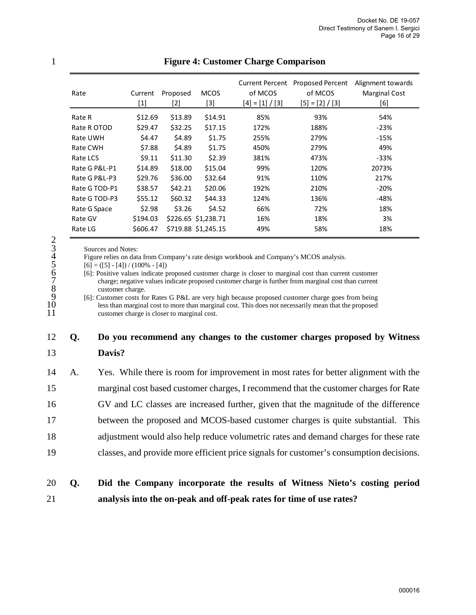| Rate          | Current<br>$\left[1\right]$ | Proposed<br>$[2]$ | <b>MCOS</b><br>[3]  | <b>Current Percent</b><br>of MCOS<br>$[4] = [1] / [3]$ | Proposed Percent<br>of MCOS<br>$[5] = [2] / [3]$ | Alignment towards<br><b>Marginal Cost</b><br>[6] |
|---------------|-----------------------------|-------------------|---------------------|--------------------------------------------------------|--------------------------------------------------|--------------------------------------------------|
| Rate R        | \$12.69                     | \$13.89           | \$14.91             | 85%                                                    | 93%                                              | 54%                                              |
| Rate R OTOD   | \$29.47                     | \$32.25           | \$17.15             | 172%                                                   | 188%                                             | $-23%$                                           |
| Rate UWH      | \$4.47                      | \$4.89            | \$1.75              | 255%                                                   | 279%                                             | $-15%$                                           |
| Rate CWH      | \$7.88                      | \$4.89            | \$1.75              | 450%                                                   | 279%                                             | 49%                                              |
| Rate LCS      | \$9.11                      | \$11.30           | \$2.39              | 381%                                                   | 473%                                             | $-33%$                                           |
| Rate G P&L-P1 | \$14.89                     | \$18.00           | \$15.04             | 99%                                                    | 120%                                             | 2073%                                            |
| Rate G P&L-P3 | \$29.76                     | \$36.00           | \$32.64             | 91%                                                    | 110%                                             | 217%                                             |
| Rate G TOD-P1 | \$38.57                     | \$42.21           | \$20.06             | 192%                                                   | 210%                                             | $-20%$                                           |
| Rate G TOD-P3 | \$55.12                     | \$60.32           | \$44.33             | 124%                                                   | 136%                                             | -48%                                             |
| Rate G Space  | \$2.98                      | \$3.26            | \$4.52              | 66%                                                    | 72%                                              | 18%                                              |
| Rate GV       | \$194.03                    |                   | \$226.65 \$1,238.71 | 16%                                                    | 18%                                              | 3%                                               |
| Rate LG       | \$606.47                    |                   | \$719.88 \$1,245.15 | 49%                                                    | 58%                                              | 18%                                              |

#### <span id="page-15-0"></span>1 **Figure 4: Customer Charge Comparison**

Figure relies on data from Company's rate design workbook and Company's MCOS analysis.

 $[6] = ([5] - [4]) / (100\% - [4])$ 

2  $\overline{\text{3}}$  Sources and Notes:<br>
4 Figure relies on dat<br>
5 [6] = ([5] - [4]) / (10<br>
6 [6]: Positive values<br>
7 charge; negative values<br>
8 customer charg<br>
9 [6]: Customer costs<br>
10 less than margi 6 [6]: Positive values indicate proposed customer charge is closer to marginal cost than current customer charge; negative values indicate proposed customer charge is further from marginal cost than current customer charge.

9 [6]: Customer costs for Rates G P&L are very high because proposed customer charge goes from being 10 less than marginal cost to more than marginal cost. This does not necessarily mean that the proposed customer charge is closer to marginal cost. customer charge is closer to marginal cost.

### 12 **Q. Do you recommend any changes to the customer charges proposed by Witness**  13 **Davis?**

14 A. Yes. While there is room for improvement in most rates for better alignment with the 15 marginal cost based customer charges, I recommend that the customer charges for Rate 16 GV and LC classes are increased further, given that the magnitude of the difference 17 between the proposed and MCOS-based customer charges is quite substantial. This 18 adjustment would also help reduce volumetric rates and demand charges for these rate 19 classes, and provide more efficient price signals for customer's consumption decisions.

# 20 **Q. Did the Company incorporate the results of Witness Nieto's costing period**  21 **analysis into the on-peak and off-peak rates for time of use rates?**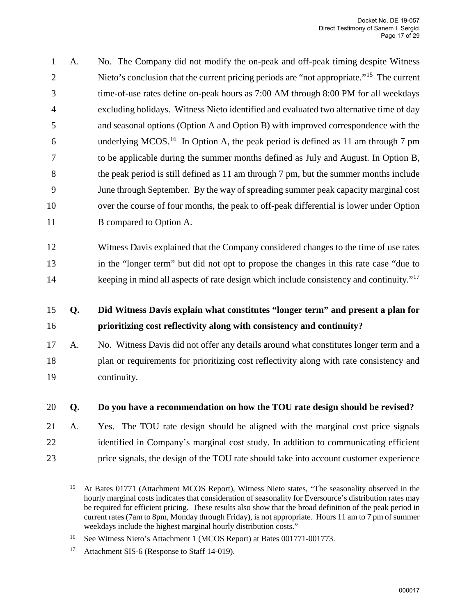1 A. No. The Company did not modify the on-peak and off-peak timing despite Witness 2 Nieto's conclusion that the current pricing periods are "not appropriate."<sup>[15](#page-16-0)</sup> The current 3 time-of-use rates define on-peak hours as 7:00 AM through 8:00 PM for all weekdays 4 excluding holidays. Witness Nieto identified and evaluated two alternative time of day 5 and seasonal options (Option A and Option B) with improved correspondence with the 6 underlying MCOS.<sup>[16](#page-16-1)</sup> In Option A, the peak period is defined as 11 am through 7 pm 7 to be applicable during the summer months defined as July and August. In Option B, 8 the peak period is still defined as 11 am through 7 pm, but the summer months include 9 June through September. By the way of spreading summer peak capacity marginal cost 10 over the course of four months, the peak to off-peak differential is lower under Option 11 B compared to Option A.

12 Witness Davis explained that the Company considered changes to the time of use rates 13 in the "longer term" but did not opt to propose the changes in this rate case "due to keeping in mind all aspects of rate design which include consistency and continuity."<sup>[17](#page-16-2)</sup>

# 15 **Q. Did Witness Davis explain what constitutes "longer term" and present a plan for**  16 **prioritizing cost reflectivity along with consistency and continuity?**

17 A. No. Witness Davis did not offer any details around what constitutes longer term and a 18 plan or requirements for prioritizing cost reflectivity along with rate consistency and 19 continuity.

### 20 **Q. Do you have a recommendation on how the TOU rate design should be revised?**

21 A. Yes. The TOU rate design should be aligned with the marginal cost price signals 22 identified in Company's marginal cost study. In addition to communicating efficient 23 price signals, the design of the TOU rate should take into account customer experience

<span id="page-16-0"></span> $15<sup>15</sup>$ 15 At Bates 01771 (Attachment MCOS Report), Witness Nieto states, "The seasonality observed in the hourly marginal costs indicates that consideration of seasonality for Eversource's distribution rates may be required for efficient pricing. These results also show that the broad definition of the peak period in current rates (7am to 8pm, Monday through Friday), is not appropriate. Hours 11 am to 7 pm of summer weekdays include the highest marginal hourly distribution costs."

<span id="page-16-1"></span><sup>16</sup> See Witness Nieto's Attachment 1 (MCOS Report) at Bates 001771-001773.

<span id="page-16-2"></span><sup>&</sup>lt;sup>17</sup> Attachment SIS-6 (Response to Staff 14-019).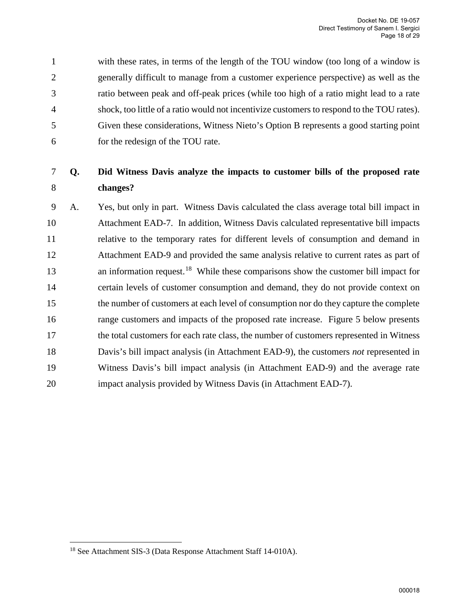1 with these rates, in terms of the length of the TOU window (too long of a window is 2 generally difficult to manage from a customer experience perspective) as well as the 3 ratio between peak and off-peak prices (while too high of a ratio might lead to a rate 4 shock, too little of a ratio would not incentivize customers to respond to the TOU rates). 5 Given these considerations, Witness Nieto's Option B represents a good starting point 6 for the redesign of the TOU rate.

# 7 **Q. Did Witness Davis analyze the impacts to customer bills of the proposed rate**  8 **changes?**

9 A. Yes, but only in part. Witness Davis calculated the class average total bill impact in 10 Attachment EAD-7. In addition, Witness Davis calculated representative bill impacts 11 relative to the temporary rates for different levels of consumption and demand in 12 Attachment EAD-9 and provided the same analysis relative to current rates as part of 13 an information request.<sup>[18](#page-17-0)</sup> While these comparisons show the customer bill impact for 14 certain levels of customer consumption and demand, they do not provide context on 15 the number of customers at each level of consumption nor do they capture the complete 16 range customers and impacts of the proposed rate increase. [Figure 5](#page-18-0) below presents 17 the total customers for each rate class, the number of customers represented in Witness 18 Davis's bill impact analysis (in Attachment EAD-9), the customers *not* represented in 19 Witness Davis's bill impact analysis (in Attachment EAD-9) and the average rate 20 impact analysis provided by Witness Davis (in Attachment EAD-7).

 $\overline{a}$ 

<span id="page-17-0"></span><sup>18</sup> See Attachment SIS-3 (Data Response Attachment Staff 14-010A).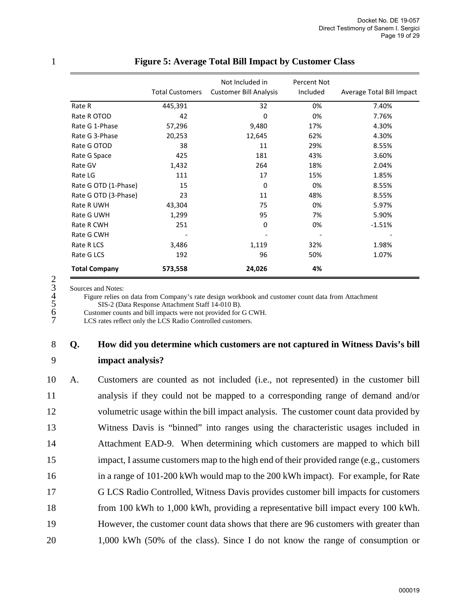|                      | <b>Total Customers</b> | Not Included in<br><b>Customer Bill Analysis</b> | Percent Not<br>Included | Average Total Bill Impact |
|----------------------|------------------------|--------------------------------------------------|-------------------------|---------------------------|
| Rate R               | 445,391                | 32                                               | 0%                      | 7.40%                     |
| Rate R OTOD          | 42                     | 0                                                | 0%                      | 7.76%                     |
| Rate G 1-Phase       | 57,296                 | 9,480                                            | 17%                     | 4.30%                     |
| Rate G 3-Phase       | 20,253                 | 12,645                                           | 62%                     | 4.30%                     |
| Rate G OTOD          | 38                     | 11                                               | 29%                     | 8.55%                     |
| Rate G Space         | 425                    | 181                                              | 43%                     | 3.60%                     |
| Rate GV              | 1,432                  | 264                                              | 18%                     | 2.04%                     |
| Rate LG              | 111                    | 17                                               | 15%                     | 1.85%                     |
| Rate G OTD (1-Phase) | 15                     | 0                                                | 0%                      | 8.55%                     |
| Rate G OTD (3-Phase) | 23                     | 11                                               | 48%                     | 8.55%                     |
| Rate R UWH           | 43,304                 | 75                                               | 0%                      | 5.97%                     |
| Rate G UWH           | 1,299                  | 95                                               | 7%                      | 5.90%                     |
| Rate R CWH           | 251                    | 0                                                | 0%                      | $-1.51%$                  |
| Rate G CWH           |                        |                                                  |                         |                           |
| Rate R LCS           | 3,486                  | 1,119                                            | 32%                     | 1.98%                     |
| Rate G LCS           | 192                    | 96                                               | 50%                     | 1.07%                     |
| <b>Total Company</b> | 573,558                | 24,026                                           | 4%                      |                           |

#### <span id="page-18-0"></span>1 **Figure 5: Average Total Bill Impact by Customer Class**

2<br>
3<br>
Sources and Notes:<br>
4<br>
Figure relies of<br>
5<br>
Customer cour<br>
7<br>
LCS rates refle 4 Figure relies on data from Company's rate design workbook and customer count data from Attachment 5 SIS-2 (Data Response Attachment Staff 14-010 B).

Customer counts and bill impacts were not provided for G CWH.

LCS rates reflect only the LCS Radio Controlled customers.

### 8 **Q. How did you determine which customers are not captured in Witness Davis's bill**  9 **impact analysis?**

10 A. Customers are counted as not included (i.e., not represented) in the customer bill 11 analysis if they could not be mapped to a corresponding range of demand and/or 12 volumetric usage within the bill impact analysis. The customer count data provided by 13 Witness Davis is "binned" into ranges using the characteristic usages included in 14 Attachment EAD-9. When determining which customers are mapped to which bill 15 impact, I assume customers map to the high end of their provided range (e.g., customers 16 in a range of 101-200 kWh would map to the 200 kWh impact). For example, for Rate 17 G LCS Radio Controlled, Witness Davis provides customer bill impacts for customers 18 from 100 kWh to 1,000 kWh, providing a representative bill impact every 100 kWh. 19 However, the customer count data shows that there are 96 customers with greater than 20 1,000 kWh (50% of the class). Since I do not know the range of consumption or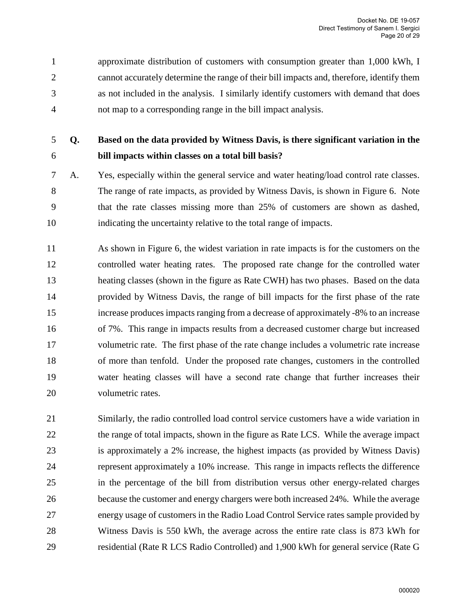1 approximate distribution of customers with consumption greater than 1,000 kWh, I 2 cannot accurately determine the range of their bill impacts and, therefore, identify them 3 as not included in the analysis. I similarly identify customers with demand that does 4 not map to a corresponding range in the bill impact analysis.

# 5 **Q. Based on the data provided by Witness Davis, is there significant variation in the**  6 **bill impacts within classes on a total bill basis?**

- 7 A. Yes, especially within the general service and water heating/load control rate classes. 8 The range of rate impacts, as provided by Witness Davis, is shown in [Figure 6.](#page-21-0) Note 9 that the rate classes missing more than 25% of customers are shown as dashed, 10 indicating the uncertainty relative to the total range of impacts.
- 11 As shown in [Figure 6,](#page-21-0) the widest variation in rate impacts is for the customers on the 12 controlled water heating rates. The proposed rate change for the controlled water 13 heating classes (shown in the figure as Rate CWH) has two phases. Based on the data 14 provided by Witness Davis, the range of bill impacts for the first phase of the rate 15 increase produces impacts ranging from a decrease of approximately -8% to an increase 16 of 7%. This range in impacts results from a decreased customer charge but increased 17 volumetric rate. The first phase of the rate change includes a volumetric rate increase 18 of more than tenfold. Under the proposed rate changes, customers in the controlled 19 water heating classes will have a second rate change that further increases their 20 volumetric rates.
- 21 Similarly, the radio controlled load control service customers have a wide variation in 22 the range of total impacts, shown in the figure as Rate LCS. While the average impact 23 is approximately a 2% increase, the highest impacts (as provided by Witness Davis) 24 represent approximately a 10% increase. This range in impacts reflects the difference 25 in the percentage of the bill from distribution versus other energy-related charges 26 because the customer and energy chargers were both increased 24%. While the average 27 energy usage of customers in the Radio Load Control Service rates sample provided by 28 Witness Davis is 550 kWh, the average across the entire rate class is 873 kWh for 29 residential (Rate R LCS Radio Controlled) and 1,900 kWh for general service (Rate G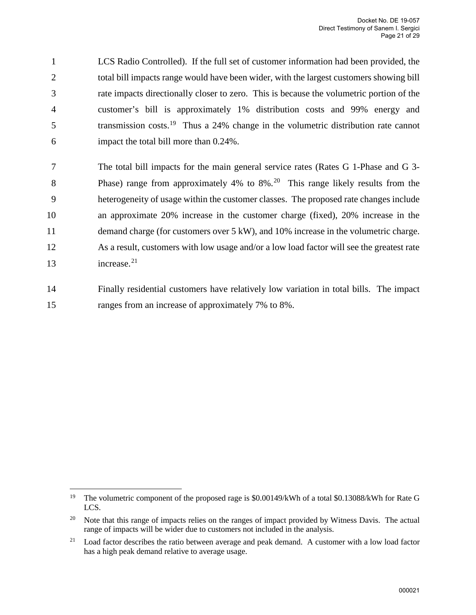1 LCS Radio Controlled). If the full set of customer information had been provided, the 2 total bill impacts range would have been wider, with the largest customers showing bill 3 rate impacts directionally closer to zero. This is because the volumetric portion of the 4 customer's bill is approximately 1% distribution costs and 99% energy and 5 transmission costs.<sup>19</sup> Thus a 24% change in the volumetric distribution rate cannot 6 impact the total bill more than 0.24%.

7 The total bill impacts for the main general service rates (Rates G 1-Phase and G 3- 8 Phase) range from approximately 4% to 8%.<sup>[20](#page-20-1)</sup> This range likely results from the 9 heterogeneity of usage within the customer classes. The proposed rate changes include 10 an approximate 20% increase in the customer charge (fixed), 20% increase in the 11 demand charge (for customers over 5 kW), and 10% increase in the volumetric charge. 12 As a result, customers with low usage and/or a low load factor will see the greatest rate 13 increase.<sup>[21](#page-20-2)</sup>

14 Finally residential customers have relatively low variation in total bills. The impact 15 ranges from an increase of approximately 7% to 8%.

<span id="page-20-0"></span> $\overline{a}$ <sup>19</sup> The volumetric component of the proposed rage is \$0.00149/kWh of a total \$0.13088/kWh for Rate G LCS.

<span id="page-20-1"></span><sup>&</sup>lt;sup>20</sup> Note that this range of impacts relies on the ranges of impact provided by Witness Davis. The actual range of impacts will be wider due to customers not included in the analysis.

<span id="page-20-2"></span><sup>&</sup>lt;sup>21</sup> Load factor describes the ratio between average and peak demand. A customer with a low load factor has a high peak demand relative to average usage.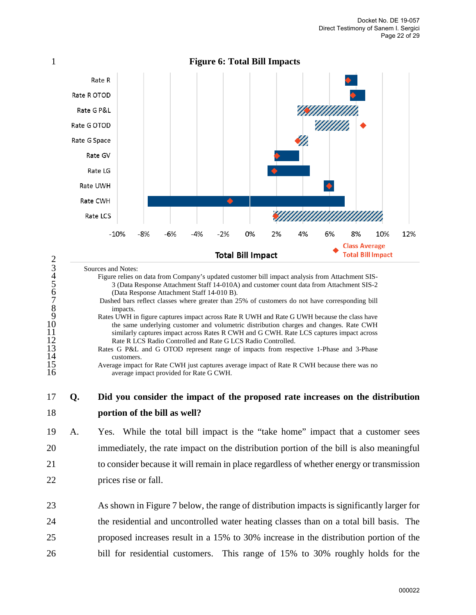

<span id="page-21-0"></span>

| Ĺ<br>$\dot{\xi}$ |
|------------------|
|                  |
|                  |
|                  |
|                  |
|                  |
|                  |
|                  |
|                  |

 $\mathcal{D}_{\mathcal{L}}$ 

#### Sources and Notes:

4 Figure relies on data from Company's updated customer bill impact analysis from Attachment SIS-5 3 (Data Response Attachment Staff 14-010A) and customer count data from Attachment SIS-2 6 (Data Response Attachment Staff 14-010 B).

- Dashed bars reflect classes where greater than 25% of customers do not have corresponding bill impacts.
- Rates UWH in figure captures impact across Rate R UWH and Rate G UWH because the class have the same underlying customer and volumetric distribution charges and changes. Rate CWH similarly captures impact across Rates R CWH and G CWH. Rate LCS captures impact across Rate R LCS Radio Controlled and Rate G LCS Radio Controlled.
- Rates G P&L and G OTOD represent range of impacts from respective 1-Phase and 3-Phase customers.

19 A. Yes. While the total bill impact is the "take home" impact that a customer sees 20 immediately, the rate impact on the distribution portion of the bill is also meaningful 21 to consider because it will remain in place regardless of whether energy or transmission 22 prices rise or fall.

Average impact for Rate CWH just captures average impact of Rate R CWH because there was no average impact provided for Rate G CWH.

<sup>17</sup> **Q. Did you consider the impact of the proposed rate increases on the distribution**  18 **portion of the bill as well?**

<sup>23</sup> As shown in Figure 7 below, the range of distribution impacts is significantly larger for 24 the residential and uncontrolled water heating classes than on a total bill basis. The 25 proposed increases result in a 15% to 30% increase in the distribution portion of the 26 bill for residential customers. This range of 15% to 30% roughly holds for the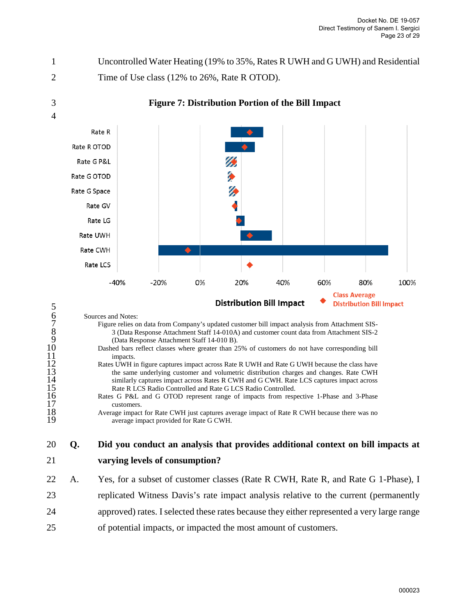1 Uncontrolled Water Heating (19% to 35%, Rates R UWH and G UWH) and Residential 2 Time of Use class (12% to 26%, Rate R OTOD).

3 **Figure 7: Distribution Portion of the Bill Impact** 

4



| 5                                                                                                      |    | <b>Distribution Bill Impact</b><br><b>Distribution Bill Impact</b>                                                                                                                                                                                                                                                                                                                                                                                                                                 |
|--------------------------------------------------------------------------------------------------------|----|----------------------------------------------------------------------------------------------------------------------------------------------------------------------------------------------------------------------------------------------------------------------------------------------------------------------------------------------------------------------------------------------------------------------------------------------------------------------------------------------------|
| 6<br>$\begin{array}{c} 7 \\ 8 \\ 9 \end{array}$<br>10<br>11<br>$\begin{array}{c} 12 \\ 13 \end{array}$ |    | Sources and Notes:<br>Figure relies on data from Company's updated customer bill impact analysis from Attachment SIS-<br>3 (Data Response Attachment Staff 14-010A) and customer count data from Attachment SIS-2<br>(Data Response Attachment Staff 14-010 B).<br>Dashed bars reflect classes where greater than 25% of customers do not have corresponding bill<br>impacts.<br>Rates UWH in figure captures impact across Rate R UWH and Rate G UWH because the class have                       |
| 14<br>15<br>16<br>17<br>18<br>19                                                                       |    | the same underlying customer and volumetric distribution charges and changes. Rate CWH<br>similarly captures impact across Rates R CWH and G CWH. Rate LCS captures impact across<br>Rate R LCS Radio Controlled and Rate G LCS Radio Controlled.<br>Rates G P&L and G OTOD represent range of impacts from respective 1-Phase and 3-Phase<br>customers.<br>Average impact for Rate CWH just captures average impact of Rate R CWH because there was no<br>average impact provided for Rate G CWH. |
| 20                                                                                                     | Q. | Did you conduct an analysis that provides additional context on bill impacts at                                                                                                                                                                                                                                                                                                                                                                                                                    |
| 21                                                                                                     |    | varying levels of consumption?                                                                                                                                                                                                                                                                                                                                                                                                                                                                     |
| 22                                                                                                     | A. | Yes, for a subset of customer classes (Rate R CWH, Rate R, and Rate G 1-Phase), I                                                                                                                                                                                                                                                                                                                                                                                                                  |
| 23                                                                                                     |    | replicated Witness Davis's rate impact analysis relative to the current (permanently                                                                                                                                                                                                                                                                                                                                                                                                               |

- 24 approved) rates. I selected these rates because they either represented a very large range
- 25 of potential impacts, or impacted the most amount of customers.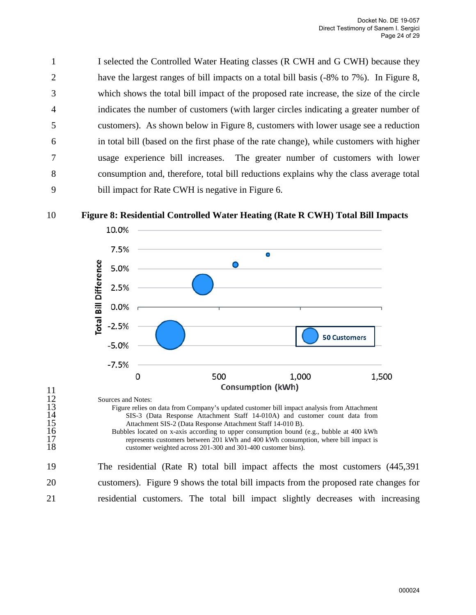1 I selected the Controlled Water Heating classes (R CWH and G CWH) because they 2 have the largest ranges of bill impacts on a total bill basis (-8% to 7%). In [Figure 8,](#page-23-0) 3 which shows the total bill impact of the proposed rate increase, the size of the circle 4 indicates the number of customers (with larger circles indicating a greater number of 5 customers). As shown below in [Figure 8,](#page-23-0) customers with lower usage see a reduction 6 in total bill (based on the first phase of the rate change), while customers with higher 7 usage experience bill increases. The greater number of customers with lower 8 consumption and, therefore, total bill reductions explains why the class average total 9 bill impact for Rate CWH is negative in [Figure 6.](#page-21-0)

<span id="page-23-0"></span>

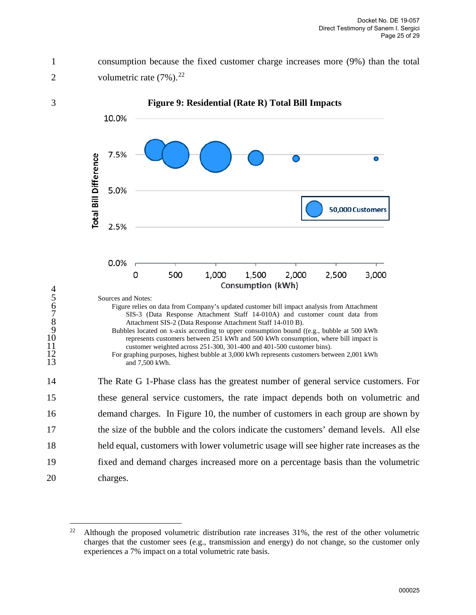$4567890$ 

1 consumption because the fixed customer charge increases more (9%) than the total 2 volumetric rate  $(7\%)$ .<sup>[22](#page-24-1)</sup>

<span id="page-24-0"></span>

<sup>19</sup> fixed and demand charges increased more on a percentage basis than the volumetric 20 charges.

<span id="page-24-1"></span><sup>&</sup>lt;sup>22</sup> Although the proposed volumetric distribution rate increases  $31\%$ , the rest of the other volumetric charges that the customer sees (e.g., transmission and energy) do not change, so the customer only experiences a 7% impact on a total volumetric rate basis.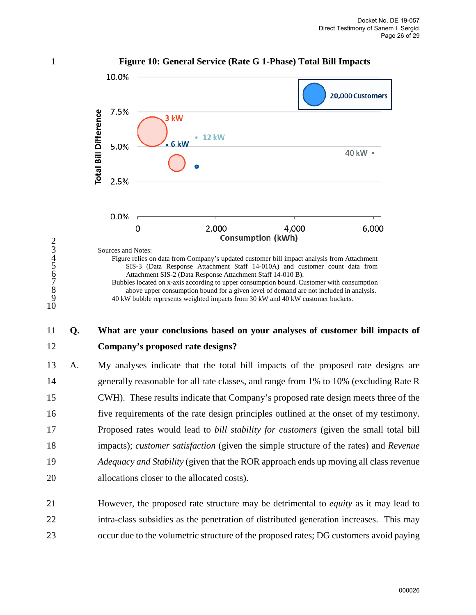<span id="page-25-0"></span>

### 11 **Q. What are your conclusions based on your analyses of customer bill impacts of**  12 **Company's proposed rate designs?**

13 A. My analyses indicate that the total bill impacts of the proposed rate designs are 14 generally reasonable for all rate classes, and range from 1% to 10% (excluding Rate R 15 CWH). These results indicate that Company's proposed rate design meets three of the 16 five requirements of the rate design principles outlined at the onset of my testimony. 17 Proposed rates would lead to *bill stability for customers* (given the small total bill 18 impacts); *customer satisfaction* (given the simple structure of the rates) and *Revenue* 19 *Adequacy and Stability* (given that the ROR approach ends up moving all class revenue 20 allocations closer to the allocated costs).

21 However, the proposed rate structure may be detrimental to *equity* as it may lead to 22 intra-class subsidies as the penetration of distributed generation increases. This may 23 occur due to the volumetric structure of the proposed rates; DG customers avoid paying

2

10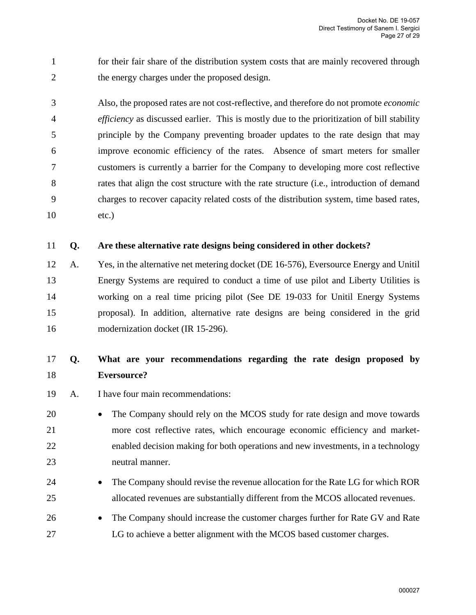1 for their fair share of the distribution system costs that are mainly recovered through 2 the energy charges under the proposed design.

3 Also, the proposed rates are not cost-reflective, and therefore do not promote *economic*  4 *efficiency* as discussed earlier. This is mostly due to the prioritization of bill stability 5 principle by the Company preventing broader updates to the rate design that may 6 improve economic efficiency of the rates. Absence of smart meters for smaller 7 customers is currently a barrier for the Company to developing more cost reflective 8 rates that align the cost structure with the rate structure (i.e., introduction of demand 9 charges to recover capacity related costs of the distribution system, time based rates, 10 etc.)

### 11 **Q. Are these alternative rate designs being considered in other dockets?**

12 A. Yes, in the alternative net metering docket (DE 16-576), Eversource Energy and Unitil 13 Energy Systems are required to conduct a time of use pilot and Liberty Utilities is 14 working on a real time pricing pilot (See DE 19-033 for Unitil Energy Systems 15 proposal). In addition, alternative rate designs are being considered in the grid 16 modernization docket (IR 15-296).

# 17 **Q. What are your recommendations regarding the rate design proposed by**  18 **Eversource?**

- 19 A. I have four main recommendations:
- 20 The Company should rely on the MCOS study for rate design and move towards 21 more cost reflective rates, which encourage economic efficiency and market-22 enabled decision making for both operations and new investments, in a technology 23 neutral manner.
- 24 The Company should revise the revenue allocation for the Rate LG for which ROR 25 allocated revenues are substantially different from the MCOS allocated revenues.
- 26 The Company should increase the customer charges further for Rate GV and Rate 27 LG to achieve a better alignment with the MCOS based customer charges.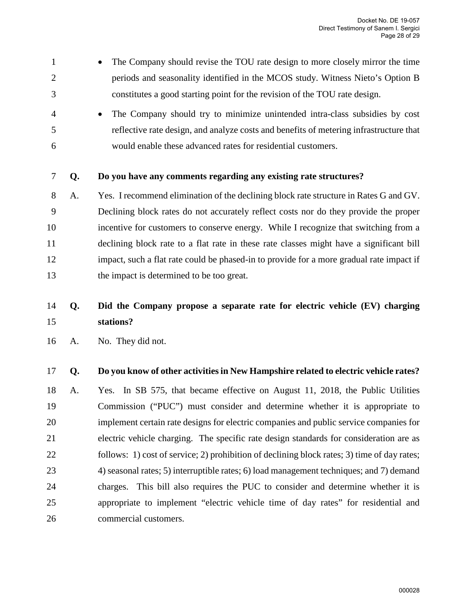- 1 The Company should revise the TOU rate design to more closely mirror the time 2 periods and seasonality identified in the MCOS study. Witness Nieto's Option B 3 constitutes a good starting point for the revision of the TOU rate design.
- 4 The Company should try to minimize unintended intra-class subsidies by cost 5 reflective rate design, and analyze costs and benefits of metering infrastructure that 6 would enable these advanced rates for residential customers.

#### 7 **Q. Do you have any comments regarding any existing rate structures?**

8 A. Yes. I recommend elimination of the declining block rate structure in Rates G and GV. 9 Declining block rates do not accurately reflect costs nor do they provide the proper 10 incentive for customers to conserve energy. While I recognize that switching from a 11 declining block rate to a flat rate in these rate classes might have a significant bill 12 impact, such a flat rate could be phased-in to provide for a more gradual rate impact if 13 the impact is determined to be too great.

# 14 **Q. Did the Company propose a separate rate for electric vehicle (EV) charging**  15 **stations?**

16 A. No. They did not.

### 17 **Q. Do you know of other activities in New Hampshire related to electric vehicle rates?**

18 A. Yes. In SB 575, that became effective on August 11, 2018, the Public Utilities 19 Commission ("PUC") must consider and determine whether it is appropriate to 20 implement certain rate designs for electric companies and public service companies for 21 electric vehicle charging. The specific rate design standards for consideration are as 22 follows: 1) cost of service; 2) prohibition of declining block rates; 3) time of day rates; 23 4) seasonal rates; 5) interruptible rates; 6) load management techniques; and 7) demand 24 charges. This bill also requires the PUC to consider and determine whether it is 25 appropriate to implement "electric vehicle time of day rates" for residential and 26 commercial customers.